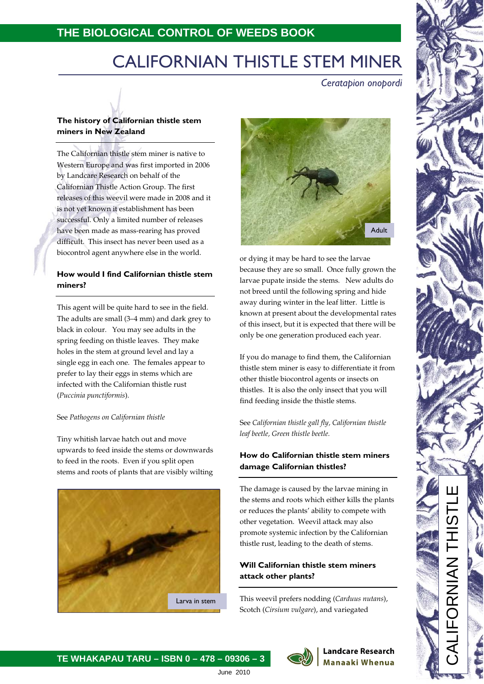# **THE BIOLOGICAL CONTROL OF WEEDS BOOK**

# CALIFORNIAN THISTLE STEM MINER

*Ceratapion onopordi*

# **The history of Californian thistle stem miners in New Zealand**

The Californian thistle stem miner is native to Western Europe and was first imported in 2006 by Landcare Research on behalf of the Californian Thistle Action Group. The first releases of this weevil were made in 2008 and it is not yet known it establishment has been successful. Only a limited number of releases have been made as mass-rearing has proved difficult. This insect has never been used as a biocontrol agent anywhere else in the world.

# **How would I find Californian thistle stem miners?**

This agent will be quite hard to see in the field. The adults are small (3–4 mm) and dark grey to black in colour. You may see adults in the spring feeding on thistle leaves. They make holes in the stem at ground level and lay a single egg in each one. The females appear to prefer to lay their eggs in stems which are infected with the Californian thistle rust (*Puccinia punctiformis*).

#### See *Pathogens on Californian thistle*

Tiny whitish larvae hatch out and move upwards to feed inside the stems or downwards to feed in the roots. Even if you split open stems and roots of plants that are visibly wilting





or dying it may be hard to see the larvae because they are so small. Once fully grown the larvae pupate inside the stems. New adults do not breed until the following spring and hide away during winter in the leaf litter. Little is known at present about the developmental rates of this insect, but it is expected that there will be only be one generation produced each year.

If you do manage to find them, the Californian thistle stem miner is easy to differentiate it from other thistle biocontrol agents or insects on thistles. It is also the only insect that you will find feeding inside the thistle stems.

See *Californian thistle gall fly, Californian thistle leaf beetle, Green thistle beetle.*

# **How do Californian thistle stem miners damage Californian thistles?**

The damage is caused by the larvae mining in the stems and roots which either kills the plants or reduces the plants' ability to compete with other vegetation. Weevil attack may also promote systemic infection by the Californian thistle rust, leading to the death of stems.

# **Will Californian thistle stem miners attack other plants?**

This weevil prefers nodding (*Carduus nutans*), Scotch (*Cirsium vulgare*), and variegated

> **Landcare Research Manaaki Whenua**



June 2010